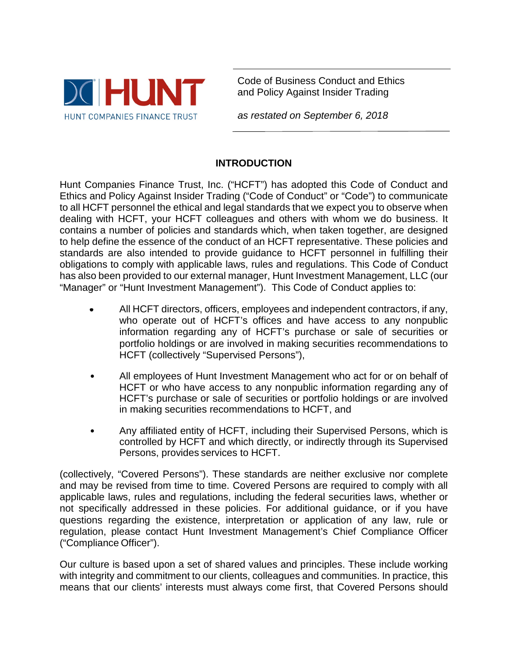

Code of Business Conduct and Ethics and Policy Against Insider Trading

*as restated on September 6, 2018*

# **INTRODUCTION**

Hunt Companies Finance Trust, Inc. ("HCFT") has adopted this Code of Conduct and Ethics and Policy Against Insider Trading ("Code of Conduct" or "Code") to communicate to all HCFT personnel the ethical and legal standards that we expect you to observe when dealing with HCFT, your HCFT colleagues and others with whom we do business. It contains a number of policies and standards which, when taken together, are designed to help define the essence of the conduct of an HCFT representative. These policies and standards are also intended to provide guidance to HCFT personnel in fulfilling their obligations to comply with applicable laws, rules and regulations. This Code of Conduct has also been provided to our external manager, Hunt Investment Management, LLC (our "Manager" or "Hunt Investment Management"). This Code of Conduct applies to:

- All HCFT directors, officers, employees and independent contractors, if any, who operate out of HCFT's offices and have access to any nonpublic information regarding any of HCFT's purchase or sale of securities or portfolio holdings or are involved in making securities recommendations to HCFT (collectively "Supervised Persons"),
- All employees of Hunt Investment Management who act for or on behalf of HCFT or who have access to any nonpublic information regarding any of HCFT's purchase or sale of securities or portfolio holdings or are involved in making securities recommendations to HCFT, and
- Any affiliated entity of HCFT, including their Supervised Persons, which is controlled by HCFT and which directly, or indirectly through its Supervised Persons, provides services to HCFT.

(collectively, "Covered Persons"). These standards are neither exclusive nor complete and may be revised from time to time. Covered Persons are required to comply with all applicable laws, rules and regulations, including the federal securities laws, whether or not specifically addressed in these policies. For additional guidance, or if you have questions regarding the existence, interpretation or application of any law, rule or regulation, please contact Hunt Investment Management's Chief Compliance Officer ("Compliance Officer").

Our culture is based upon a set of shared values and principles. These include working with integrity and commitment to our clients, colleagues and communities. In practice, this means that our clients' interests must always come first, that Covered Persons should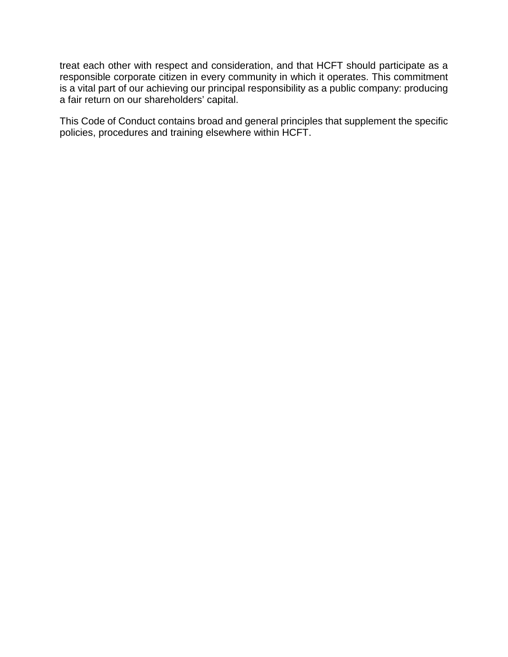treat each other with respect and consideration, and that HCFT should participate as a responsible corporate citizen in every community in which it operates. This commitment is a vital part of our achieving our principal responsibility as a public company: producing a fair return on our shareholders' capital.

This Code of Conduct contains broad and general principles that supplement the specific policies, procedures and training elsewhere within HCFT.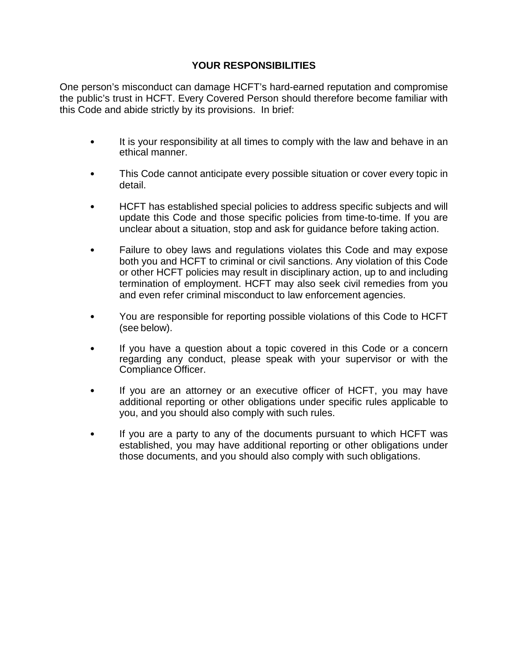## **YOUR RESPONSIBILITIES**

One person's misconduct can damage HCFT's hard-earned reputation and compromise the public's trust in HCFT. Every Covered Person should therefore become familiar with this Code and abide strictly by its provisions. In brief:

- It is your responsibility at all times to comply with the law and behave in an ethical manner.
- This Code cannot anticipate every possible situation or cover every topic in detail.
- HCFT has established special policies to address specific subjects and will update this Code and those specific policies from time-to-time. If you are unclear about a situation, stop and ask for guidance before taking action.
- Failure to obey laws and regulations violates this Code and may expose both you and HCFT to criminal or civil sanctions. Any violation of this Code or other HCFT policies may result in disciplinary action, up to and including termination of employment. HCFT may also seek civil remedies from you and even refer criminal misconduct to law enforcement agencies.
- You are responsible for reporting possible violations of this Code to HCFT (see below).
- If you have a question about a topic covered in this Code or a concern regarding any conduct, please speak with your supervisor or with the Compliance Officer.
- If you are an attorney or an executive officer of HCFT, you may have additional reporting or other obligations under specific rules applicable to you, and you should also comply with such rules.
- If you are a party to any of the documents pursuant to which HCFT was established, you may have additional reporting or other obligations under those documents, and you should also comply with such obligations.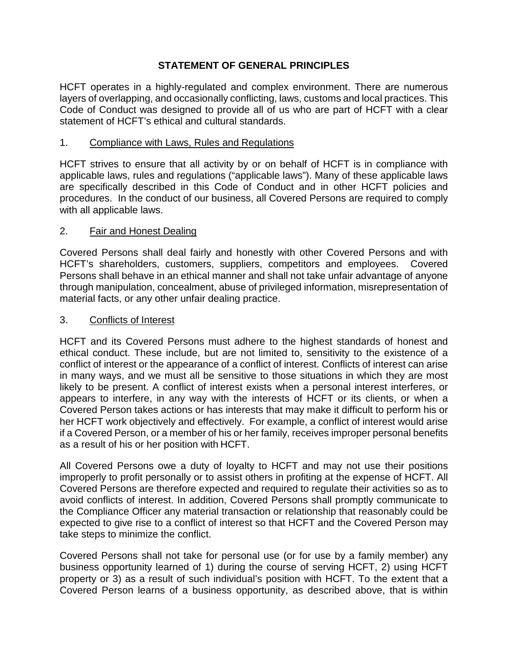## **STATEMENT OF GENERAL PRINCIPLES**

HCFT operates in a highly-regulated and complex environment. There are numerous layers of overlapping, and occasionally conflicting, laws, customs and local practices. This Code of Conduct was designed to provide all of us who are part of HCFT with a clear statement of HCFT's ethical and cultural standards.

### 1. Compliance with Laws, Rules and Regulations

HCFT strives to ensure that all activity by or on behalf of HCFT is in compliance with applicable laws, rules and regulations ("applicable laws"). Many of these applicable laws are specifically described in this Code of Conduct and in other HCFT policies and procedures. In the conduct of our business, all Covered Persons are required to comply with all applicable laws.

#### 2. Fair and Honest Dealing

Covered Persons shall deal fairly and honestly with other Covered Persons and with HCFT's shareholders, customers, suppliers, competitors and employees. Covered Persons shall behave in an ethical manner and shall not take unfair advantage of anyone through manipulation, concealment, abuse of privileged information, misrepresentation of material facts, or any other unfair dealing practice.

#### 3. Conflicts of Interest

HCFT and its Covered Persons must adhere to the highest standards of honest and ethical conduct. These include, but are not limited to, sensitivity to the existence of a conflict of interest or the appearance of a conflict of interest. Conflicts of interest can arise in many ways, and we must all be sensitive to those situations in which they are most likely to be present. A conflict of interest exists when a personal interest interferes, or appears to interfere, in any way with the interests of HCFT or its clients, or when a Covered Person takes actions or has interests that may make it difficult to perform his or her HCFT work objectively and effectively. For example, a conflict of interest would arise if a Covered Person, or a member of his or her family, receives improper personal benefits as a result of his or her position with HCFT.

All Covered Persons owe a duty of loyalty to HCFT and may not use their positions improperly to profit personally or to assist others in profiting at the expense of HCFT. All Covered Persons are therefore expected and required to regulate their activities so as to avoid conflicts of interest. In addition, Covered Persons shall promptly communicate to the Compliance Officer any material transaction or relationship that reasonably could be expected to give rise to a conflict of interest so that HCFT and the Covered Person may take steps to minimize the conflict.

Covered Persons shall not take for personal use (or for use by a family member) any business opportunity learned of 1) during the course of serving HCFT, 2) using HCFT property or 3) as a result of such individual's position with HCFT. To the extent that a Covered Person learns of a business opportunity, as described above, that is within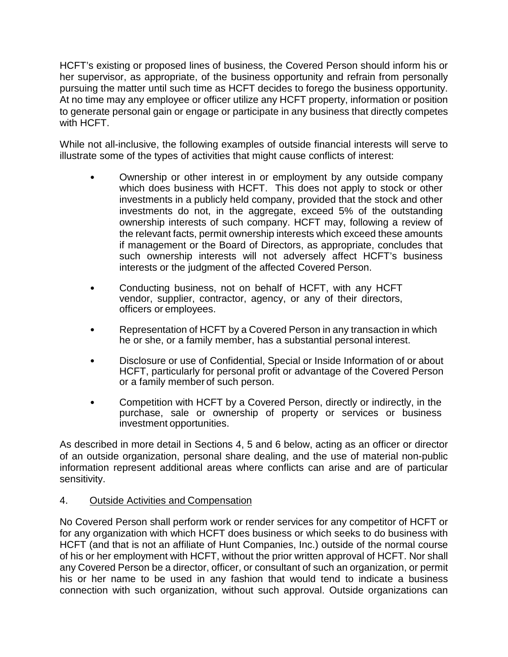HCFT's existing or proposed lines of business, the Covered Person should inform his or her supervisor, as appropriate, of the business opportunity and refrain from personally pursuing the matter until such time as HCFT decides to forego the business opportunity. At no time may any employee or officer utilize any HCFT property, information or position to generate personal gain or engage or participate in any business that directly competes with HCFT.

While not all-inclusive, the following examples of outside financial interests will serve to illustrate some of the types of activities that might cause conflicts of interest:

- Ownership or other interest in or employment by any outside company which does business with HCFT. This does not apply to stock or other investments in a publicly held company, provided that the stock and other investments do not, in the aggregate, exceed 5% of the outstanding ownership interests of such company. HCFT may, following a review of the relevant facts, permit ownership interests which exceed these amounts if management or the Board of Directors, as appropriate, concludes that such ownership interests will not adversely affect HCFT's business interests or the judgment of the affected Covered Person.
- Conducting business, not on behalf of HCFT, with any HCFT vendor, supplier, contractor, agency, or any of their directors, officers or employees.
- Representation of HCFT by a Covered Person in any transaction in which he or she, or a family member, has a substantial personal interest.
- Disclosure or use of Confidential, Special or Inside Information of or about HCFT, particularly for personal profit or advantage of the Covered Person or a family member of such person.
- Competition with HCFT by a Covered Person, directly or indirectly, in the purchase, sale or ownership of property or services or business investment opportunities.

As described in more detail in Sections 4, 5 and 6 below, acting as an officer or director of an outside organization, personal share dealing, and the use of material non-public information represent additional areas where conflicts can arise and are of particular sensitivity.

# 4. Outside Activities and Compensation

No Covered Person shall perform work or render services for any competitor of HCFT or for any organization with which HCFT does business or which seeks to do business with HCFT (and that is not an affiliate of Hunt Companies, Inc.) outside of the normal course of his or her employment with HCFT, without the prior written approval of HCFT. Nor shall any Covered Person be a director, officer, or consultant of such an organization, or permit his or her name to be used in any fashion that would tend to indicate a business connection with such organization, without such approval. Outside organizations can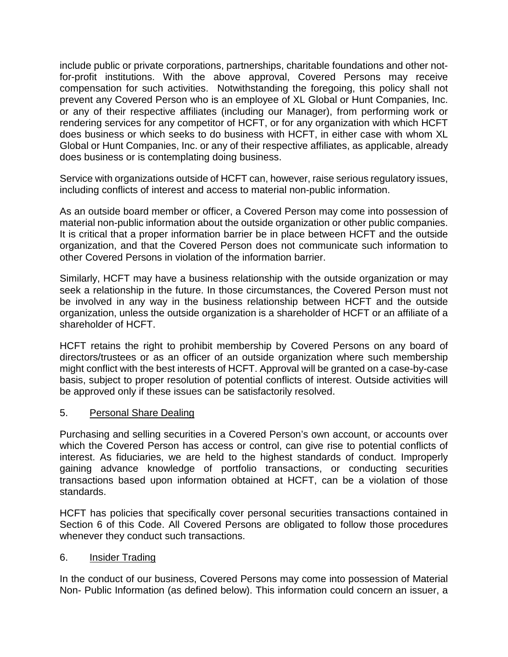include public or private corporations, partnerships, charitable foundations and other notfor-profit institutions. With the above approval, Covered Persons may receive compensation for such activities. Notwithstanding the foregoing, this policy shall not prevent any Covered Person who is an employee of XL Global or Hunt Companies, Inc. or any of their respective affiliates (including our Manager), from performing work or rendering services for any competitor of HCFT, or for any organization with which HCFT does business or which seeks to do business with HCFT, in either case with whom XL Global or Hunt Companies, Inc. or any of their respective affiliates, as applicable, already does business or is contemplating doing business.

Service with organizations outside of HCFT can, however, raise serious regulatory issues, including conflicts of interest and access to material non-public information.

As an outside board member or officer, a Covered Person may come into possession of material non-public information about the outside organization or other public companies. It is critical that a proper information barrier be in place between HCFT and the outside organization, and that the Covered Person does not communicate such information to other Covered Persons in violation of the information barrier.

Similarly, HCFT may have a business relationship with the outside organization or may seek a relationship in the future. In those circumstances, the Covered Person must not be involved in any way in the business relationship between HCFT and the outside organization, unless the outside organization is a shareholder of HCFT or an affiliate of a shareholder of HCFT.

HCFT retains the right to prohibit membership by Covered Persons on any board of directors/trustees or as an officer of an outside organization where such membership might conflict with the best interests of HCFT. Approval will be granted on a case-by-case basis, subject to proper resolution of potential conflicts of interest. Outside activities will be approved only if these issues can be satisfactorily resolved.

### 5. Personal Share Dealing

Purchasing and selling securities in a Covered Person's own account, or accounts over which the Covered Person has access or control, can give rise to potential conflicts of interest. As fiduciaries, we are held to the highest standards of conduct. Improperly gaining advance knowledge of portfolio transactions, or conducting securities transactions based upon information obtained at HCFT, can be a violation of those standards.

HCFT has policies that specifically cover personal securities transactions contained in Section 6 of this Code. All Covered Persons are obligated to follow those procedures whenever they conduct such transactions.

### 6. Insider Trading

In the conduct of our business, Covered Persons may come into possession of Material Non- Public Information (as defined below). This information could concern an issuer, a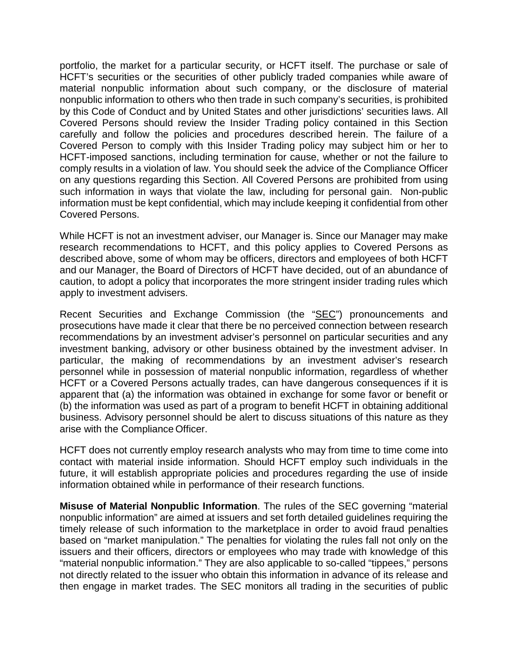portfolio, the market for a particular security, or HCFT itself. The purchase or sale of HCFT's securities or the securities of other publicly traded companies while aware of material nonpublic information about such company, or the disclosure of material nonpublic information to others who then trade in such company's securities, is prohibited by this Code of Conduct and by United States and other jurisdictions' securities laws. All Covered Persons should review the Insider Trading policy contained in this Section carefully and follow the policies and procedures described herein. The failure of a Covered Person to comply with this Insider Trading policy may subject him or her to HCFT-imposed sanctions, including termination for cause, whether or not the failure to comply results in a violation of law. You should seek the advice of the Compliance Officer on any questions regarding this Section. All Covered Persons are prohibited from using such information in ways that violate the law, including for personal gain. Non-public information must be kept confidential, which may include keeping it confidential from other Covered Persons.

While HCFT is not an investment adviser, our Manager is. Since our Manager may make research recommendations to HCFT, and this policy applies to Covered Persons as described above, some of whom may be officers, directors and employees of both HCFT and our Manager, the Board of Directors of HCFT have decided, out of an abundance of caution, to adopt a policy that incorporates the more stringent insider trading rules which apply to investment advisers.

Recent Securities and Exchange Commission (the "SEC") pronouncements and prosecutions have made it clear that there be no perceived connection between research recommendations by an investment adviser's personnel on particular securities and any investment banking, advisory or other business obtained by the investment adviser. In particular, the making of recommendations by an investment adviser's research personnel while in possession of material nonpublic information, regardless of whether HCFT or a Covered Persons actually trades, can have dangerous consequences if it is apparent that (a) the information was obtained in exchange for some favor or benefit or (b) the information was used as part of a program to benefit HCFT in obtaining additional business. Advisory personnel should be alert to discuss situations of this nature as they arise with the Compliance Officer.

HCFT does not currently employ research analysts who may from time to time come into contact with material inside information. Should HCFT employ such individuals in the future, it will establish appropriate policies and procedures regarding the use of inside information obtained while in performance of their research functions.

**Misuse of Material Nonpublic Information**. The rules of the SEC governing "material nonpublic information" are aimed at issuers and set forth detailed guidelines requiring the timely release of such information to the marketplace in order to avoid fraud penalties based on "market manipulation." The penalties for violating the rules fall not only on the issuers and their officers, directors or employees who may trade with knowledge of this "material nonpublic information." They are also applicable to so-called "tippees," persons not directly related to the issuer who obtain this information in advance of its release and then engage in market trades. The SEC monitors all trading in the securities of public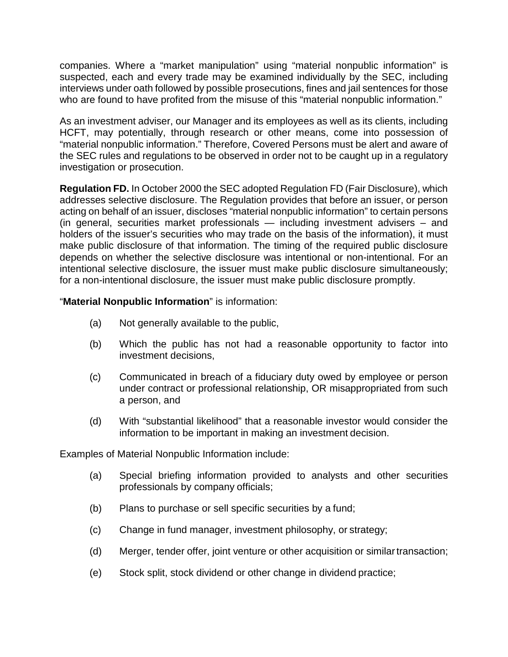companies. Where a "market manipulation" using "material nonpublic information" is suspected, each and every trade may be examined individually by the SEC, including interviews under oath followed by possible prosecutions, fines and jail sentences for those who are found to have profited from the misuse of this "material nonpublic information."

As an investment adviser, our Manager and its employees as well as its clients, including HCFT, may potentially, through research or other means, come into possession of "material nonpublic information." Therefore, Covered Persons must be alert and aware of the SEC rules and regulations to be observed in order not to be caught up in a regulatory investigation or prosecution.

**Regulation FD.** In October 2000 the SEC adopted Regulation FD (Fair Disclosure), which addresses selective disclosure. The Regulation provides that before an issuer, or person acting on behalf of an issuer, discloses "material nonpublic information" to certain persons (in general, securities market professionals — including investment advisers – and holders of the issuer's securities who may trade on the basis of the information), it must make public disclosure of that information. The timing of the required public disclosure depends on whether the selective disclosure was intentional or non-intentional. For an intentional selective disclosure, the issuer must make public disclosure simultaneously; for a non-intentional disclosure, the issuer must make public disclosure promptly.

## "**Material Nonpublic Information**" is information:

- (a) Not generally available to the public,
- (b) Which the public has not had a reasonable opportunity to factor into investment decisions,
- (c) Communicated in breach of a fiduciary duty owed by employee or person under contract or professional relationship, OR misappropriated from such a person, and
- (d) With "substantial likelihood" that a reasonable investor would consider the information to be important in making an investment decision.

Examples of Material Nonpublic Information include:

- (a) Special briefing information provided to analysts and other securities professionals by company officials;
- (b) Plans to purchase or sell specific securities by a fund;
- (c) Change in fund manager, investment philosophy, or strategy;
- (d) Merger, tender offer, joint venture or other acquisition or similartransaction;
- (e) Stock split, stock dividend or other change in dividend practice;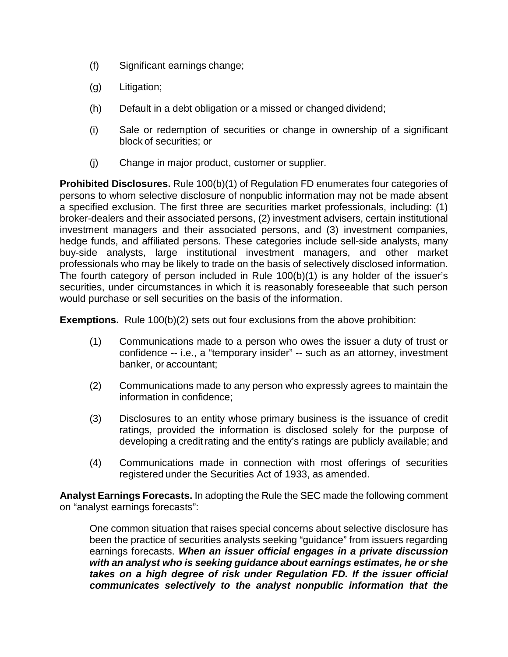- (f) Significant earnings change;
- (g) Litigation;
- (h) Default in a debt obligation or a missed or changed dividend;
- (i) Sale or redemption of securities or change in ownership of a significant block of securities; or
- (j) Change in major product, customer or supplier.

**Prohibited Disclosures.** Rule 100(b)(1) of Regulation FD enumerates four categories of persons to whom selective disclosure of nonpublic information may not be made absent a specified exclusion. The first three are securities market professionals, including: (1) broker-dealers and their associated persons, (2) investment advisers, certain institutional investment managers and their associated persons, and (3) investment companies, hedge funds, and affiliated persons. These categories include sell-side analysts, many buy-side analysts, large institutional investment managers, and other market professionals who may be likely to trade on the basis of selectively disclosed information. The fourth category of person included in Rule 100(b)(1) is any holder of the issuer's securities, under circumstances in which it is reasonably foreseeable that such person would purchase or sell securities on the basis of the information.

**Exemptions.** Rule 100(b)(2) sets out four exclusions from the above prohibition:

- (1) Communications made to a person who owes the issuer a duty of trust or confidence -- i.e., a "temporary insider" -- such as an attorney, investment banker, or accountant;
- (2) Communications made to any person who expressly agrees to maintain the information in confidence;
- (3) Disclosures to an entity whose primary business is the issuance of credit ratings, provided the information is disclosed solely for the purpose of developing a creditrating and the entity's ratings are publicly available; and
- (4) Communications made in connection with most offerings of securities registered under the Securities Act of 1933, as amended.

**Analyst Earnings Forecasts.** In adopting the Rule the SEC made the following comment on "analyst earnings forecasts":

One common situation that raises special concerns about selective disclosure has been the practice of securities analysts seeking "guidance" from issuers regarding earnings forecasts. *When an issuer official engages in a private discussion with an analyst who is seeking guidance about earnings estimates, he or she takes on a high degree of risk under Regulation FD. If the issuer official communicates selectively to the analyst nonpublic information that the*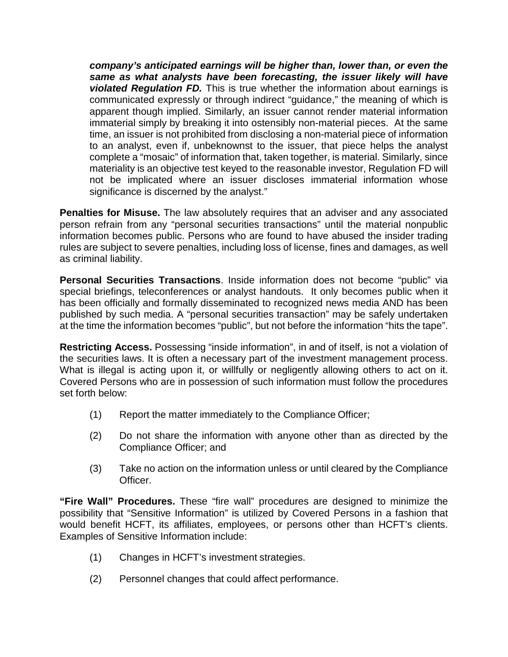*company's anticipated earnings will be higher than, lower than, or even the same as what analysts have been forecasting, the issuer likely will have violated Regulation FD.* This is true whether the information about earnings is communicated expressly or through indirect "guidance," the meaning of which is apparent though implied. Similarly, an issuer cannot render material information immaterial simply by breaking it into ostensibly non-material pieces. At the same time, an issuer is not prohibited from disclosing a non-material piece of information to an analyst, even if, unbeknownst to the issuer, that piece helps the analyst complete a "mosaic" of information that, taken together, is material. Similarly, since materiality is an objective test keyed to the reasonable investor, Regulation FD will not be implicated where an issuer discloses immaterial information whose significance is discerned by the analyst."

**Penalties for Misuse.** The law absolutely requires that an adviser and any associated person refrain from any "personal securities transactions" until the material nonpublic information becomes public. Persons who are found to have abused the insider trading rules are subject to severe penalties, including loss of license, fines and damages, as well as criminal liability.

**Personal Securities Transactions**. Inside information does not become "public" via special briefings, teleconferences or analyst handouts. It only becomes public when it has been officially and formally disseminated to recognized news media AND has been published by such media. A "personal securities transaction" may be safely undertaken at the time the information becomes "public", but not before the information "hits the tape".

**Restricting Access.** Possessing "inside information", in and of itself, is not a violation of the securities laws. It is often a necessary part of the investment management process. What is illegal is acting upon it, or willfully or negligently allowing others to act on it. Covered Persons who are in possession of such information must follow the procedures set forth below:

- (1) Report the matter immediately to the Compliance Officer;
- (2) Do not share the information with anyone other than as directed by the Compliance Officer; and
- (3) Take no action on the information unless or until cleared by the Compliance Officer.

**"Fire Wall" Procedures.** These "fire wall" procedures are designed to minimize the possibility that "Sensitive Information" is utilized by Covered Persons in a fashion that would benefit HCFT, its affiliates, employees, or persons other than HCFT's clients. Examples of Sensitive Information include:

- (1) Changes in HCFT's investment strategies.
- (2) Personnel changes that could affect performance.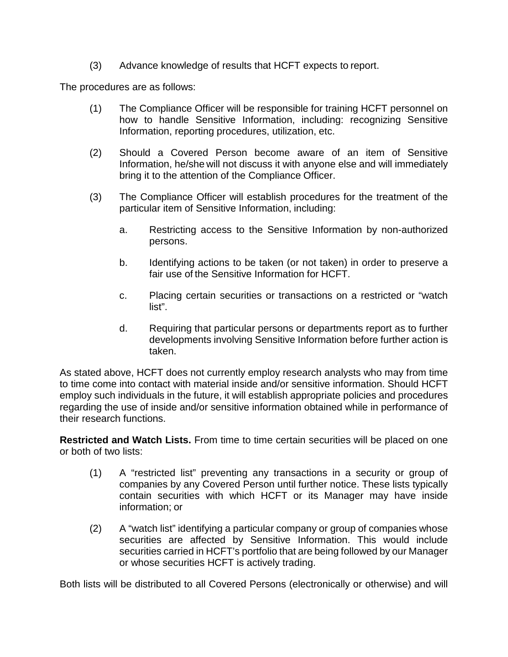(3) Advance knowledge of results that HCFT expects to report.

The procedures are as follows:

- (1) The Compliance Officer will be responsible for training HCFT personnel on how to handle Sensitive Information, including: recognizing Sensitive Information, reporting procedures, utilization, etc.
- (2) Should a Covered Person become aware of an item of Sensitive Information, he/she will not discuss it with anyone else and will immediately bring it to the attention of the Compliance Officer.
- (3) The Compliance Officer will establish procedures for the treatment of the particular item of Sensitive Information, including:
	- a. Restricting access to the Sensitive Information by non-authorized persons.
	- b. Identifying actions to be taken (or not taken) in order to preserve a fair use of the Sensitive Information for HCFT.
	- c. Placing certain securities or transactions on a restricted or "watch list".
	- d. Requiring that particular persons or departments report as to further developments involving Sensitive Information before further action is taken.

As stated above, HCFT does not currently employ research analysts who may from time to time come into contact with material inside and/or sensitive information. Should HCFT employ such individuals in the future, it will establish appropriate policies and procedures regarding the use of inside and/or sensitive information obtained while in performance of their research functions.

**Restricted and Watch Lists.** From time to time certain securities will be placed on one or both of two lists:

- (1) A "restricted list" preventing any transactions in a security or group of companies by any Covered Person until further notice. These lists typically contain securities with which HCFT or its Manager may have inside information; or
- (2) A "watch list" identifying a particular company or group of companies whose securities are affected by Sensitive Information. This would include securities carried in HCFT's portfolio that are being followed by our Manager or whose securities HCFT is actively trading.

Both lists will be distributed to all Covered Persons (electronically or otherwise) and will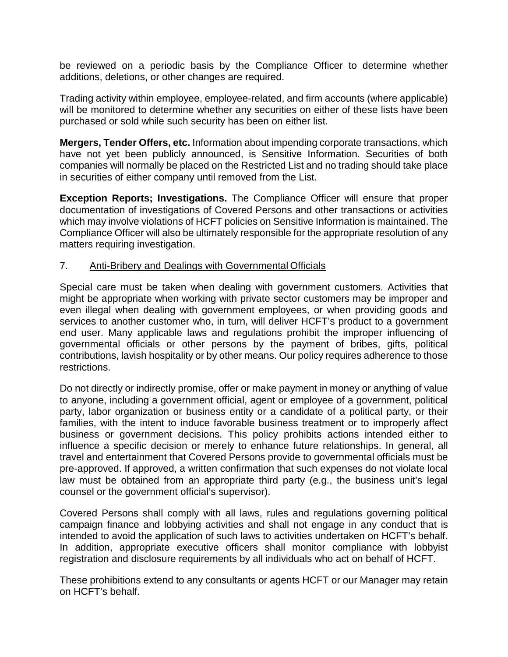be reviewed on a periodic basis by the Compliance Officer to determine whether additions, deletions, or other changes are required.

Trading activity within employee, employee-related, and firm accounts (where applicable) will be monitored to determine whether any securities on either of these lists have been purchased or sold while such security has been on either list.

**Mergers, Tender Offers, etc.** Information about impending corporate transactions, which have not yet been publicly announced, is Sensitive Information. Securities of both companies will normally be placed on the Restricted List and no trading should take place in securities of either company until removed from the List.

**Exception Reports; Investigations.** The Compliance Officer will ensure that proper documentation of investigations of Covered Persons and other transactions or activities which may involve violations of HCFT policies on Sensitive Information is maintained. The Compliance Officer will also be ultimately responsible for the appropriate resolution of any matters requiring investigation.

#### 7. Anti-Bribery and Dealings with Governmental Officials

Special care must be taken when dealing with government customers. Activities that might be appropriate when working with private sector customers may be improper and even illegal when dealing with government employees, or when providing goods and services to another customer who, in turn, will deliver HCFT's product to a government end user. Many applicable laws and regulations prohibit the improper influencing of governmental officials or other persons by the payment of bribes, gifts, political contributions, lavish hospitality or by other means. Our policy requires adherence to those restrictions.

Do not directly or indirectly promise, offer or make payment in money or anything of value to anyone, including a government official, agent or employee of a government, political party, labor organization or business entity or a candidate of a political party, or their families, with the intent to induce favorable business treatment or to improperly affect business or government decisions. This policy prohibits actions intended either to influence a specific decision or merely to enhance future relationships. In general, all travel and entertainment that Covered Persons provide to governmental officials must be pre-approved. If approved, a written confirmation that such expenses do not violate local law must be obtained from an appropriate third party (e.g., the business unit's legal counsel or the government official's supervisor).

Covered Persons shall comply with all laws, rules and regulations governing political campaign finance and lobbying activities and shall not engage in any conduct that is intended to avoid the application of such laws to activities undertaken on HCFT's behalf. In addition, appropriate executive officers shall monitor compliance with lobbyist registration and disclosure requirements by all individuals who act on behalf of HCFT.

These prohibitions extend to any consultants or agents HCFT or our Manager may retain on HCFT's behalf.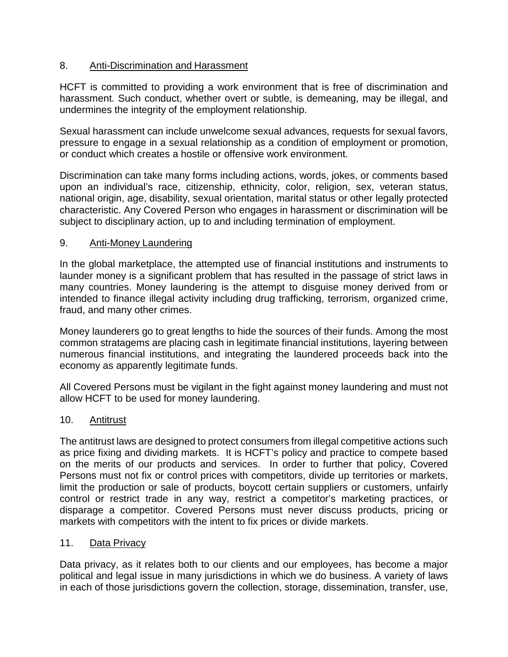## 8. Anti-Discrimination and Harassment

HCFT is committed to providing a work environment that is free of discrimination and harassment. Such conduct, whether overt or subtle, is demeaning, may be illegal, and undermines the integrity of the employment relationship.

Sexual harassment can include unwelcome sexual advances, requests for sexual favors, pressure to engage in a sexual relationship as a condition of employment or promotion, or conduct which creates a hostile or offensive work environment.

Discrimination can take many forms including actions, words, jokes, or comments based upon an individual's race, citizenship, ethnicity, color, religion, sex, veteran status, national origin, age, disability, sexual orientation, marital status or other legally protected characteristic. Any Covered Person who engages in harassment or discrimination will be subject to disciplinary action, up to and including termination of employment.

## 9. Anti-Money Laundering

In the global marketplace, the attempted use of financial institutions and instruments to launder money is a significant problem that has resulted in the passage of strict laws in many countries. Money laundering is the attempt to disguise money derived from or intended to finance illegal activity including drug trafficking, terrorism, organized crime, fraud, and many other crimes.

Money launderers go to great lengths to hide the sources of their funds. Among the most common stratagems are placing cash in legitimate financial institutions, layering between numerous financial institutions, and integrating the laundered proceeds back into the economy as apparently legitimate funds.

All Covered Persons must be vigilant in the fight against money laundering and must not allow HCFT to be used for money laundering.

### 10. Antitrust

The antitrust laws are designed to protect consumers from illegal competitive actions such as price fixing and dividing markets. It is HCFT's policy and practice to compete based on the merits of our products and services. In order to further that policy, Covered Persons must not fix or control prices with competitors, divide up territories or markets, limit the production or sale of products, boycott certain suppliers or customers, unfairly control or restrict trade in any way, restrict a competitor's marketing practices, or disparage a competitor. Covered Persons must never discuss products, pricing or markets with competitors with the intent to fix prices or divide markets.

### 11. Data Privacy

Data privacy, as it relates both to our clients and our employees, has become a major political and legal issue in many jurisdictions in which we do business. A variety of laws in each of those jurisdictions govern the collection, storage, dissemination, transfer, use,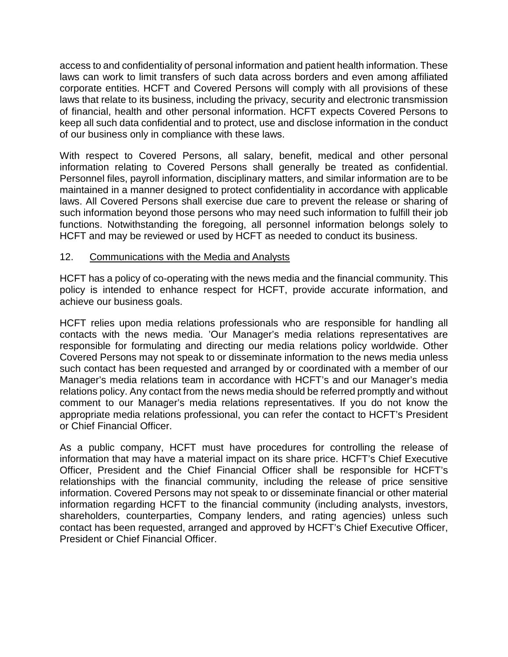access to and confidentiality of personal information and patient health information. These laws can work to limit transfers of such data across borders and even among affiliated corporate entities. HCFT and Covered Persons will comply with all provisions of these laws that relate to its business, including the privacy, security and electronic transmission of financial, health and other personal information. HCFT expects Covered Persons to keep all such data confidential and to protect, use and disclose information in the conduct of our business only in compliance with these laws.

With respect to Covered Persons, all salary, benefit, medical and other personal information relating to Covered Persons shall generally be treated as confidential. Personnel files, payroll information, disciplinary matters, and similar information are to be maintained in a manner designed to protect confidentiality in accordance with applicable laws. All Covered Persons shall exercise due care to prevent the release or sharing of such information beyond those persons who may need such information to fulfill their job functions. Notwithstanding the foregoing, all personnel information belongs solely to HCFT and may be reviewed or used by HCFT as needed to conduct its business.

## 12. Communications with the Media and Analysts

HCFT has a policy of co-operating with the news media and the financial community. This policy is intended to enhance respect for HCFT, provide accurate information, and achieve our business goals.

HCFT relies upon media relations professionals who are responsible for handling all contacts with the news media. 'Our Manager's media relations representatives are responsible for formulating and directing our media relations policy worldwide. Other Covered Persons may not speak to or disseminate information to the news media unless such contact has been requested and arranged by or coordinated with a member of our Manager's media relations team in accordance with HCFT's and our Manager's media relations policy. Any contact from the news media should be referred promptly and without comment to our Manager's media relations representatives. If you do not know the appropriate media relations professional, you can refer the contact to HCFT's President or Chief Financial Officer.

As a public company, HCFT must have procedures for controlling the release of information that may have a material impact on its share price. HCFT's Chief Executive Officer, President and the Chief Financial Officer shall be responsible for HCFT's relationships with the financial community, including the release of price sensitive information. Covered Persons may not speak to or disseminate financial or other material information regarding HCFT to the financial community (including analysts, investors, shareholders, counterparties, Company lenders, and rating agencies) unless such contact has been requested, arranged and approved by HCFT's Chief Executive Officer, President or Chief Financial Officer.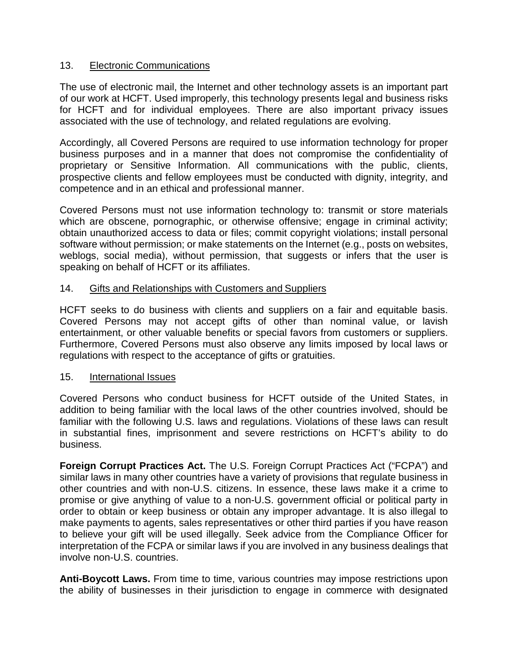### 13. Electronic Communications

The use of electronic mail, the Internet and other technology assets is an important part of our work at HCFT. Used improperly, this technology presents legal and business risks for HCFT and for individual employees. There are also important privacy issues associated with the use of technology, and related regulations are evolving.

Accordingly, all Covered Persons are required to use information technology for proper business purposes and in a manner that does not compromise the confidentiality of proprietary or Sensitive Information. All communications with the public, clients, prospective clients and fellow employees must be conducted with dignity, integrity, and competence and in an ethical and professional manner.

Covered Persons must not use information technology to: transmit or store materials which are obscene, pornographic, or otherwise offensive; engage in criminal activity; obtain unauthorized access to data or files; commit copyright violations; install personal software without permission; or make statements on the Internet (e.g., posts on websites, weblogs, social media), without permission, that suggests or infers that the user is speaking on behalf of HCFT or its affiliates.

## 14. Gifts and Relationships with Customers and Suppliers

HCFT seeks to do business with clients and suppliers on a fair and equitable basis. Covered Persons may not accept gifts of other than nominal value, or lavish entertainment, or other valuable benefits or special favors from customers or suppliers. Furthermore, Covered Persons must also observe any limits imposed by local laws or regulations with respect to the acceptance of gifts or gratuities.

### 15. International Issues

Covered Persons who conduct business for HCFT outside of the United States, in addition to being familiar with the local laws of the other countries involved, should be familiar with the following U.S. laws and regulations. Violations of these laws can result in substantial fines, imprisonment and severe restrictions on HCFT's ability to do business.

**Foreign Corrupt Practices Act.** The U.S. Foreign Corrupt Practices Act ("FCPA") and similar laws in many other countries have a variety of provisions that regulate business in other countries and with non-U.S. citizens. In essence, these laws make it a crime to promise or give anything of value to a non-U.S. government official or political party in order to obtain or keep business or obtain any improper advantage. It is also illegal to make payments to agents, sales representatives or other third parties if you have reason to believe your gift will be used illegally. Seek advice from the Compliance Officer for interpretation of the FCPA or similar laws if you are involved in any business dealings that involve non-U.S. countries.

**Anti-Boycott Laws.** From time to time, various countries may impose restrictions upon the ability of businesses in their jurisdiction to engage in commerce with designated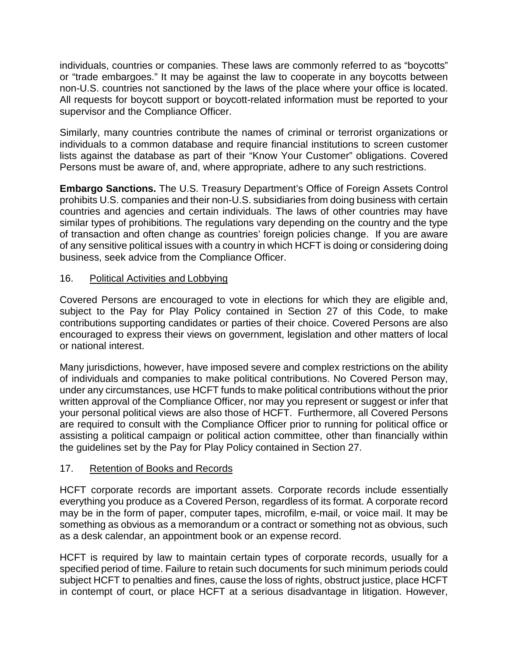individuals, countries or companies. These laws are commonly referred to as "boycotts" or "trade embargoes." It may be against the law to cooperate in any boycotts between non-U.S. countries not sanctioned by the laws of the place where your office is located. All requests for boycott support or boycott-related information must be reported to your supervisor and the Compliance Officer.

Similarly, many countries contribute the names of criminal or terrorist organizations or individuals to a common database and require financial institutions to screen customer lists against the database as part of their "Know Your Customer" obligations. Covered Persons must be aware of, and, where appropriate, adhere to any such restrictions.

**Embargo Sanctions.** The U.S. Treasury Department's Office of Foreign Assets Control prohibits U.S. companies and their non-U.S. subsidiaries from doing business with certain countries and agencies and certain individuals. The laws of other countries may have similar types of prohibitions. The regulations vary depending on the country and the type of transaction and often change as countries' foreign policies change. If you are aware of any sensitive political issues with a country in which HCFT is doing or considering doing business, seek advice from the Compliance Officer.

# 16. Political Activities and Lobbying

Covered Persons are encouraged to vote in elections for which they are eligible and, subject to the Pay for Play Policy contained in Section 27 of this Code, to make contributions supporting candidates or parties of their choice. Covered Persons are also encouraged to express their views on government, legislation and other matters of local or national interest.

Many jurisdictions, however, have imposed severe and complex restrictions on the ability of individuals and companies to make political contributions. No Covered Person may, under any circumstances, use HCFT funds to make political contributions without the prior written approval of the Compliance Officer, nor may you represent or suggest or infer that your personal political views are also those of HCFT. Furthermore, all Covered Persons are required to consult with the Compliance Officer prior to running for political office or assisting a political campaign or political action committee, other than financially within the guidelines set by the Pay for Play Policy contained in Section 27.

### 17. Retention of Books and Records

HCFT corporate records are important assets. Corporate records include essentially everything you produce as a Covered Person, regardless of its format. A corporate record may be in the form of paper, computer tapes, microfilm, e-mail, or voice mail. It may be something as obvious as a memorandum or a contract or something not as obvious, such as a desk calendar, an appointment book or an expense record.

HCFT is required by law to maintain certain types of corporate records, usually for a specified period of time. Failure to retain such documents for such minimum periods could subject HCFT to penalties and fines, cause the loss of rights, obstruct justice, place HCFT in contempt of court, or place HCFT at a serious disadvantage in litigation. However,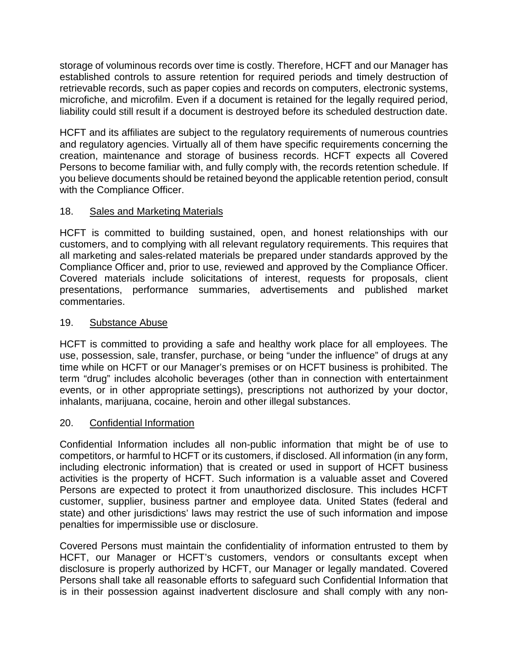storage of voluminous records over time is costly. Therefore, HCFT and our Manager has established controls to assure retention for required periods and timely destruction of retrievable records, such as paper copies and records on computers, electronic systems, microfiche, and microfilm. Even if a document is retained for the legally required period, liability could still result if a document is destroyed before its scheduled destruction date.

HCFT and its affiliates are subject to the regulatory requirements of numerous countries and regulatory agencies. Virtually all of them have specific requirements concerning the creation, maintenance and storage of business records. HCFT expects all Covered Persons to become familiar with, and fully comply with, the records retention schedule. If you believe documents should be retained beyond the applicable retention period, consult with the Compliance Officer.

# 18. Sales and Marketing Materials

HCFT is committed to building sustained, open, and honest relationships with our customers, and to complying with all relevant regulatory requirements. This requires that all marketing and sales-related materials be prepared under standards approved by the Compliance Officer and, prior to use, reviewed and approved by the Compliance Officer. Covered materials include solicitations of interest, requests for proposals, client presentations, performance summaries, advertisements and published market commentaries.

## 19. Substance Abuse

HCFT is committed to providing a safe and healthy work place for all employees. The use, possession, sale, transfer, purchase, or being "under the influence" of drugs at any time while on HCFT or our Manager's premises or on HCFT business is prohibited. The term "drug" includes alcoholic beverages (other than in connection with entertainment events, or in other appropriate settings), prescriptions not authorized by your doctor, inhalants, marijuana, cocaine, heroin and other illegal substances.

# 20. Confidential Information

Confidential Information includes all non-public information that might be of use to competitors, or harmful to HCFT or its customers, if disclosed. All information (in any form, including electronic information) that is created or used in support of HCFT business activities is the property of HCFT. Such information is a valuable asset and Covered Persons are expected to protect it from unauthorized disclosure. This includes HCFT customer, supplier, business partner and employee data. United States (federal and state) and other jurisdictions' laws may restrict the use of such information and impose penalties for impermissible use or disclosure.

Covered Persons must maintain the confidentiality of information entrusted to them by HCFT, our Manager or HCFT's customers, vendors or consultants except when disclosure is properly authorized by HCFT, our Manager or legally mandated. Covered Persons shall take all reasonable efforts to safeguard such Confidential Information that is in their possession against inadvertent disclosure and shall comply with any non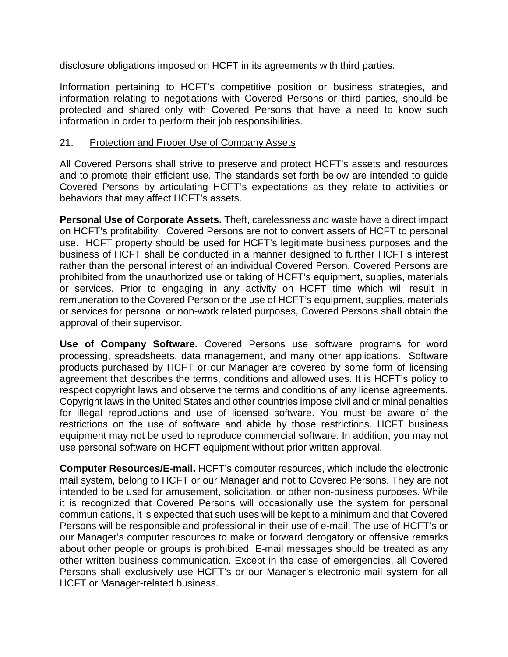disclosure obligations imposed on HCFT in its agreements with third parties.

Information pertaining to HCFT's competitive position or business strategies, and information relating to negotiations with Covered Persons or third parties, should be protected and shared only with Covered Persons that have a need to know such information in order to perform their job responsibilities.

### 21. Protection and Proper Use of Company Assets

All Covered Persons shall strive to preserve and protect HCFT's assets and resources and to promote their efficient use. The standards set forth below are intended to guide Covered Persons by articulating HCFT's expectations as they relate to activities or behaviors that may affect HCFT's assets.

**Personal Use of Corporate Assets.** Theft, carelessness and waste have a direct impact on HCFT's profitability. Covered Persons are not to convert assets of HCFT to personal use. HCFT property should be used for HCFT's legitimate business purposes and the business of HCFT shall be conducted in a manner designed to further HCFT's interest rather than the personal interest of an individual Covered Person. Covered Persons are prohibited from the unauthorized use or taking of HCFT's equipment, supplies, materials or services. Prior to engaging in any activity on HCFT time which will result in remuneration to the Covered Person or the use of HCFT's equipment, supplies, materials or services for personal or non-work related purposes, Covered Persons shall obtain the approval of their supervisor.

**Use of Company Software.** Covered Persons use software programs for word processing, spreadsheets, data management, and many other applications. Software products purchased by HCFT or our Manager are covered by some form of licensing agreement that describes the terms, conditions and allowed uses. It is HCFT's policy to respect copyright laws and observe the terms and conditions of any license agreements. Copyright laws in the United States and other countries impose civil and criminal penalties for illegal reproductions and use of licensed software. You must be aware of the restrictions on the use of software and abide by those restrictions. HCFT business equipment may not be used to reproduce commercial software. In addition, you may not use personal software on HCFT equipment without prior written approval.

**Computer Resources/E-mail.** HCFT's computer resources, which include the electronic mail system, belong to HCFT or our Manager and not to Covered Persons. They are not intended to be used for amusement, solicitation, or other non-business purposes. While it is recognized that Covered Persons will occasionally use the system for personal communications, it is expected that such uses will be kept to a minimum and that Covered Persons will be responsible and professional in their use of e-mail. The use of HCFT's or our Manager's computer resources to make or forward derogatory or offensive remarks about other people or groups is prohibited. E-mail messages should be treated as any other written business communication. Except in the case of emergencies, all Covered Persons shall exclusively use HCFT's or our Manager's electronic mail system for all HCFT or Manager-related business.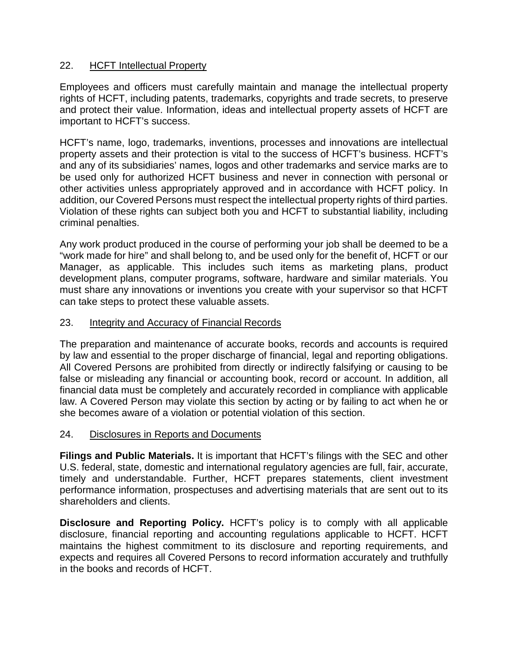## 22. HCFT Intellectual Property

Employees and officers must carefully maintain and manage the intellectual property rights of HCFT, including patents, trademarks, copyrights and trade secrets, to preserve and protect their value. Information, ideas and intellectual property assets of HCFT are important to HCFT's success.

HCFT's name, logo, trademarks, inventions, processes and innovations are intellectual property assets and their protection is vital to the success of HCFT's business. HCFT's and any of its subsidiaries' names, logos and other trademarks and service marks are to be used only for authorized HCFT business and never in connection with personal or other activities unless appropriately approved and in accordance with HCFT policy. In addition, our Covered Persons must respect the intellectual property rights of third parties. Violation of these rights can subject both you and HCFT to substantial liability, including criminal penalties.

Any work product produced in the course of performing your job shall be deemed to be a "work made for hire" and shall belong to, and be used only for the benefit of, HCFT or our Manager, as applicable. This includes such items as marketing plans, product development plans, computer programs, software, hardware and similar materials. You must share any innovations or inventions you create with your supervisor so that HCFT can take steps to protect these valuable assets.

### 23. Integrity and Accuracy of Financial Records

The preparation and maintenance of accurate books, records and accounts is required by law and essential to the proper discharge of financial, legal and reporting obligations. All Covered Persons are prohibited from directly or indirectly falsifying or causing to be false or misleading any financial or accounting book, record or account. In addition, all financial data must be completely and accurately recorded in compliance with applicable law. A Covered Person may violate this section by acting or by failing to act when he or she becomes aware of a violation or potential violation of this section.

### 24. Disclosures in Reports and Documents

**Filings and Public Materials.** It is important that HCFT's filings with the SEC and other U.S. federal, state, domestic and international regulatory agencies are full, fair, accurate, timely and understandable. Further, HCFT prepares statements, client investment performance information, prospectuses and advertising materials that are sent out to its shareholders and clients.

**Disclosure and Reporting Policy.** HCFT's policy is to comply with all applicable disclosure, financial reporting and accounting regulations applicable to HCFT. HCFT maintains the highest commitment to its disclosure and reporting requirements, and expects and requires all Covered Persons to record information accurately and truthfully in the books and records of HCFT.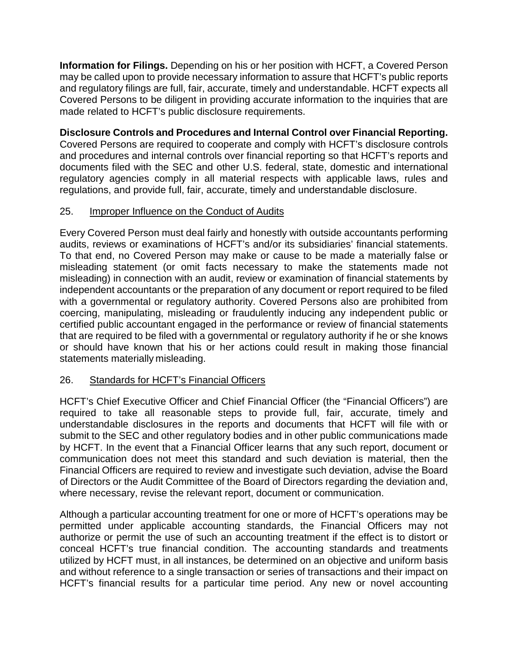**Information for Filings.** Depending on his or her position with HCFT, a Covered Person may be called upon to provide necessary information to assure that HCFT's public reports and regulatory filings are full, fair, accurate, timely and understandable. HCFT expects all Covered Persons to be diligent in providing accurate information to the inquiries that are made related to HCFT's public disclosure requirements.

**Disclosure Controls and Procedures and Internal Control over Financial Reporting.**  Covered Persons are required to cooperate and comply with HCFT's disclosure controls and procedures and internal controls over financial reporting so that HCFT's reports and documents filed with the SEC and other U.S. federal, state, domestic and international regulatory agencies comply in all material respects with applicable laws, rules and regulations, and provide full, fair, accurate, timely and understandable disclosure.

## 25. Improper Influence on the Conduct of Audits

Every Covered Person must deal fairly and honestly with outside accountants performing audits, reviews or examinations of HCFT's and/or its subsidiaries' financial statements. To that end, no Covered Person may make or cause to be made a materially false or misleading statement (or omit facts necessary to make the statements made not misleading) in connection with an audit, review or examination of financial statements by independent accountants or the preparation of any document or report required to be filed with a governmental or regulatory authority. Covered Persons also are prohibited from coercing, manipulating, misleading or fraudulently inducing any independent public or certified public accountant engaged in the performance or review of financial statements that are required to be filed with a governmental or regulatory authority if he or she knows or should have known that his or her actions could result in making those financial statements materially misleading.

# 26. Standards for HCFT's Financial Officers

HCFT's Chief Executive Officer and Chief Financial Officer (the "Financial Officers") are required to take all reasonable steps to provide full, fair, accurate, timely and understandable disclosures in the reports and documents that HCFT will file with or submit to the SEC and other regulatory bodies and in other public communications made by HCFT. In the event that a Financial Officer learns that any such report, document or communication does not meet this standard and such deviation is material, then the Financial Officers are required to review and investigate such deviation, advise the Board of Directors or the Audit Committee of the Board of Directors regarding the deviation and, where necessary, revise the relevant report, document or communication.

Although a particular accounting treatment for one or more of HCFT's operations may be permitted under applicable accounting standards, the Financial Officers may not authorize or permit the use of such an accounting treatment if the effect is to distort or conceal HCFT's true financial condition. The accounting standards and treatments utilized by HCFT must, in all instances, be determined on an objective and uniform basis and without reference to a single transaction or series of transactions and their impact on HCFT's financial results for a particular time period. Any new or novel accounting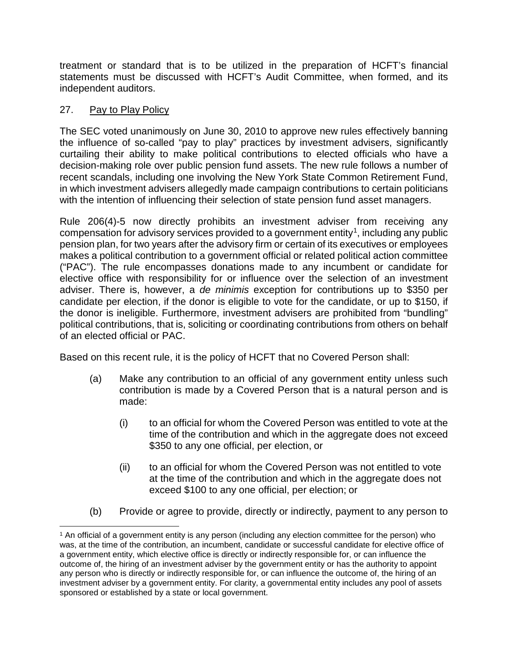treatment or standard that is to be utilized in the preparation of HCFT's financial statements must be discussed with HCFT's Audit Committee, when formed, and its independent auditors.

# 27. Pay to Play Policy

The SEC voted unanimously on June 30, 2010 to approve new rules effectively banning the influence of so-called "pay to play" practices by investment advisers, significantly curtailing their ability to make political contributions to elected officials who have a decision-making role over public pension fund assets. The new rule follows a number of recent scandals, including one involving the New York State Common Retirement Fund, in which investment advisers allegedly made campaign contributions to certain politicians with the intention of influencing their selection of state pension fund asset managers.

Rule 206(4)-5 now directly prohibits an investment adviser from receiving any compensation for advisory services provided to a government entity<sup>1</sup>, including any public pension plan, for two years after the advisory firm or certain of its executives or employees makes a political contribution to a government official or related political action committee ("PAC"). The rule encompasses donations made to any incumbent or candidate for elective office with responsibility for or influence over the selection of an investment adviser. There is, however, a *de minimis* exception for contributions up to \$350 per candidate per election, if the donor is eligible to vote for the candidate, or up to \$150, if the donor is ineligible. Furthermore, investment advisers are prohibited from "bundling" political contributions, that is, soliciting or coordinating contributions from others on behalf of an elected official or PAC.

Based on this recent rule, it is the policy of HCFT that no Covered Person shall:

- (a) Make any contribution to an official of any government entity unless such contribution is made by a Covered Person that is a natural person and is made:
	- (i) to an official for whom the Covered Person was entitled to vote at the time of the contribution and which in the aggregate does not exceed \$350 to any one official, per election, or
	- (ii) to an official for whom the Covered Person was not entitled to vote at the time of the contribution and which in the aggregate does not exceed \$100 to any one official, per election; or
- (b) Provide or agree to provide, directly or indirectly, payment to any person to

<span id="page-20-0"></span> <sup>1</sup> An official of a government entity is any person (including any election committee for the person) who was, at the time of the contribution, an incumbent, candidate or successful candidate for elective office of a government entity, which elective office is directly or indirectly responsible for, or can influence the outcome of, the hiring of an investment adviser by the government entity or has the authority to appoint any person who is directly or indirectly responsible for, or can influence the outcome of, the hiring of an investment adviser by a government entity. For clarity, a governmental entity includes any pool of assets sponsored or established by a state or local government.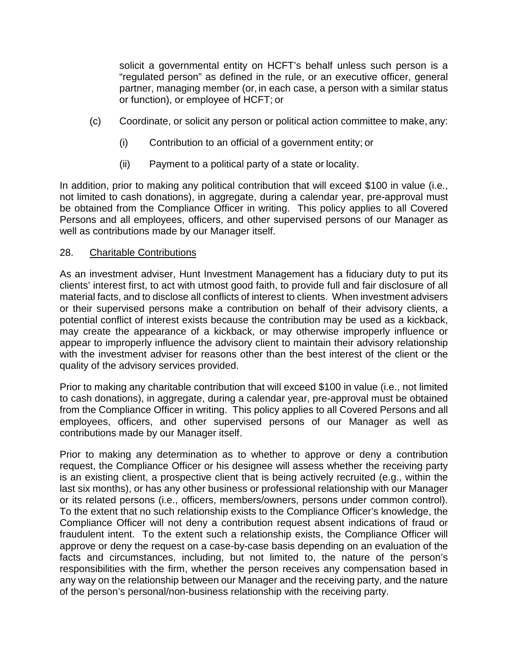solicit a governmental entity on HCFT's behalf unless such person is a "regulated person" as defined in the rule, or an executive officer, general partner, managing member (or, in each case, a person with a similar status or function), or employee of HCFT; or

- (c) Coordinate, or solicit any person or political action committee to make, any:
	- (i) Contribution to an official of a government entity; or
	- (ii) Payment to a political party of a state or locality.

In addition, prior to making any political contribution that will exceed \$100 in value (i.e., not limited to cash donations), in aggregate, during a calendar year, pre-approval must be obtained from the Compliance Officer in writing. This policy applies to all Covered Persons and all employees, officers, and other supervised persons of our Manager as well as contributions made by our Manager itself.

### 28. Charitable Contributions

As an investment adviser, Hunt Investment Management has a fiduciary duty to put its clients' interest first, to act with utmost good faith, to provide full and fair disclosure of all material facts, and to disclose all conflicts of interest to clients. When investment advisers or their supervised persons make a contribution on behalf of their advisory clients, a potential conflict of interest exists because the contribution may be used as a kickback, may create the appearance of a kickback, or may otherwise improperly influence or appear to improperly influence the advisory client to maintain their advisory relationship with the investment adviser for reasons other than the best interest of the client or the quality of the advisory services provided.

Prior to making any charitable contribution that will exceed \$100 in value (i.e., not limited to cash donations), in aggregate, during a calendar year, pre-approval must be obtained from the Compliance Officer in writing. This policy applies to all Covered Persons and all employees, officers, and other supervised persons of our Manager as well as contributions made by our Manager itself.

Prior to making any determination as to whether to approve or deny a contribution request, the Compliance Officer or his designee will assess whether the receiving party is an existing client, a prospective client that is being actively recruited (e.g., within the last six months), or has any other business or professional relationship with our Manager or its related persons (i.e., officers, members/owners, persons under common control). To the extent that no such relationship exists to the Compliance Officer's knowledge, the Compliance Officer will not deny a contribution request absent indications of fraud or fraudulent intent. To the extent such a relationship exists, the Compliance Officer will approve or deny the request on a case-by-case basis depending on an evaluation of the facts and circumstances, including, but not limited to, the nature of the person's responsibilities with the firm, whether the person receives any compensation based in any way on the relationship between our Manager and the receiving party, and the nature of the person's personal/non-business relationship with the receiving party.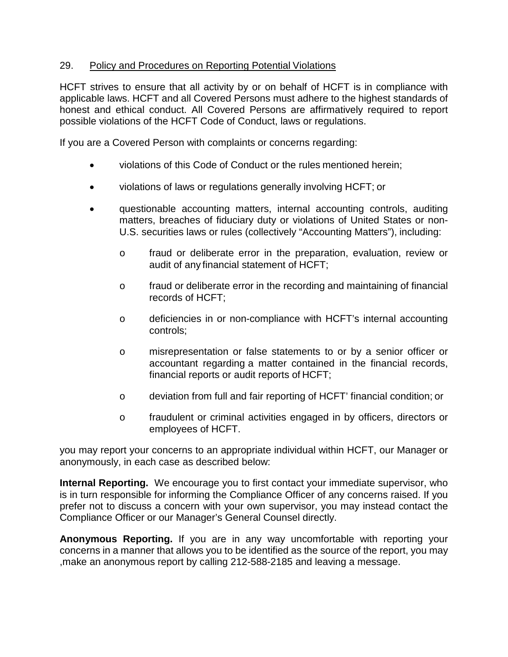## 29. Policy and Procedures on Reporting Potential Violations

HCFT strives to ensure that all activity by or on behalf of HCFT is in compliance with applicable laws. HCFT and all Covered Persons must adhere to the highest standards of honest and ethical conduct. All Covered Persons are affirmatively required to report possible violations of the HCFT Code of Conduct, laws or regulations.

If you are a Covered Person with complaints or concerns regarding:

- violations of this Code of Conduct or the rules mentioned herein;
- violations of laws or regulations generally involving HCFT; or
- questionable accounting matters, internal accounting controls, auditing matters, breaches of fiduciary duty or violations of United States or non-U.S. securities laws or rules (collectively "Accounting Matters"), including:
	- o fraud or deliberate error in the preparation, evaluation, review or audit of any financial statement of HCFT;
	- $\circ$  fraud or deliberate error in the recording and maintaining of financial records of HCFT;
	- o deficiencies in or non-compliance with HCFT's internal accounting controls;
	- o misrepresentation or false statements to or by a senior officer or accountant regarding a matter contained in the financial records, financial reports or audit reports of HCFT;
	- o deviation from full and fair reporting of HCFT' financial condition; or
	- o fraudulent or criminal activities engaged in by officers, directors or employees of HCFT.

you may report your concerns to an appropriate individual within HCFT, our Manager or anonymously, in each case as described below:

**Internal Reporting.** We encourage you to first contact your immediate supervisor, who is in turn responsible for informing the Compliance Officer of any concerns raised. If you prefer not to discuss a concern with your own supervisor, you may instead contact the Compliance Officer or our Manager's General Counsel directly.

**Anonymous Reporting.** If you are in any way uncomfortable with reporting your concerns in a manner that allows you to be identified as the source of the report, you may ,make an anonymous report by calling 212-588-2185 and leaving a message.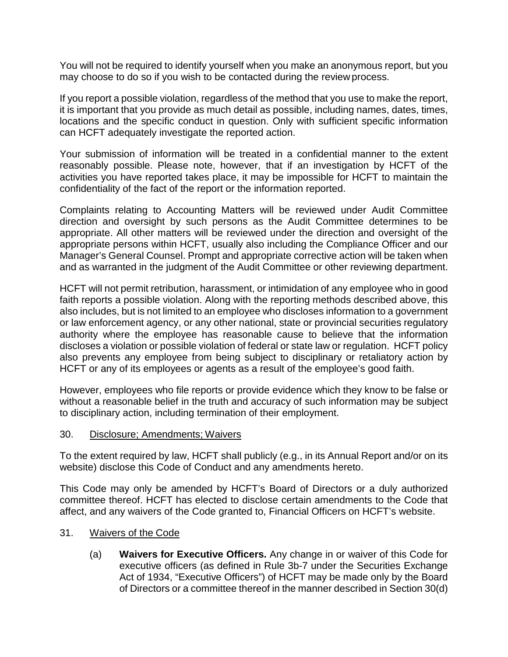You will not be required to identify yourself when you make an anonymous report, but you may choose to do so if you wish to be contacted during the review process.

If you report a possible violation, regardless of the method that you use to make the report, it is important that you provide as much detail as possible, including names, dates, times, locations and the specific conduct in question. Only with sufficient specific information can HCFT adequately investigate the reported action.

Your submission of information will be treated in a confidential manner to the extent reasonably possible. Please note, however, that if an investigation by HCFT of the activities you have reported takes place, it may be impossible for HCFT to maintain the confidentiality of the fact of the report or the information reported.

Complaints relating to Accounting Matters will be reviewed under Audit Committee direction and oversight by such persons as the Audit Committee determines to be appropriate. All other matters will be reviewed under the direction and oversight of the appropriate persons within HCFT, usually also including the Compliance Officer and our Manager's General Counsel. Prompt and appropriate corrective action will be taken when and as warranted in the judgment of the Audit Committee or other reviewing department.

HCFT will not permit retribution, harassment, or intimidation of any employee who in good faith reports a possible violation. Along with the reporting methods described above, this also includes, but is not limited to an employee who discloses information to a government or law enforcement agency, or any other national, state or provincial securities regulatory authority where the employee has reasonable cause to believe that the information discloses a violation or possible violation of federal or state law or regulation. HCFT policy also prevents any employee from being subject to disciplinary or retaliatory action by HCFT or any of its employees or agents as a result of the employee's good faith.

However, employees who file reports or provide evidence which they know to be false or without a reasonable belief in the truth and accuracy of such information may be subject to disciplinary action, including termination of their employment.

#### 30. Disclosure; Amendments; Waivers

To the extent required by law, HCFT shall publicly (e.g., in its Annual Report and/or on its website) disclose this Code of Conduct and any amendments hereto.

This Code may only be amended by HCFT's Board of Directors or a duly authorized committee thereof. HCFT has elected to disclose certain amendments to the Code that affect, and any waivers of the Code granted to, Financial Officers on HCFT's website.

- 31. Waivers of the Code
	- (a) **Waivers for Executive Officers.** Any change in or waiver of this Code for executive officers (as defined in Rule 3b-7 under the Securities Exchange Act of 1934, "Executive Officers") of HCFT may be made only by the Board of Directors or a committee thereof in the manner described in Section 30(d)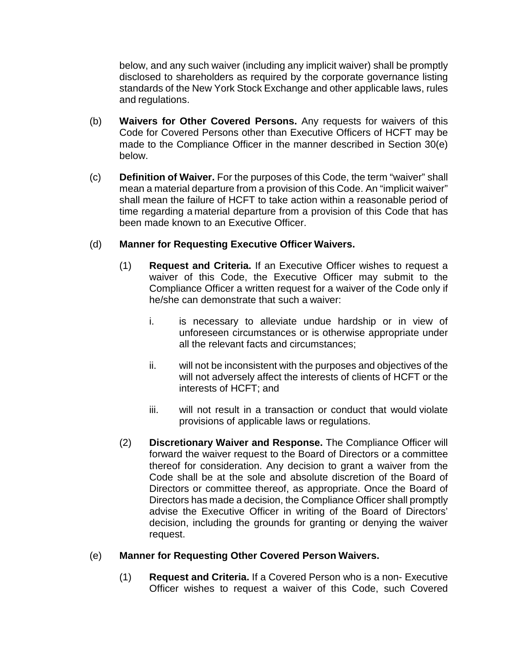below, and any such waiver (including any implicit waiver) shall be promptly disclosed to shareholders as required by the corporate governance listing standards of the New York Stock Exchange and other applicable laws, rules and regulations.

- (b) **Waivers for Other Covered Persons.** Any requests for waivers of this Code for Covered Persons other than Executive Officers of HCFT may be made to the Compliance Officer in the manner described in Section 30(e) below.
- (c) **Definition of Waiver.** For the purposes of this Code, the term "waiver" shall mean a material departure from a provision of this Code. An "implicit waiver" shall mean the failure of HCFT to take action within a reasonable period of time regarding a material departure from a provision of this Code that has been made known to an Executive Officer.

## (d) **Manner for Requesting Executive Officer Waivers.**

- (1) **Request and Criteria.** If an Executive Officer wishes to request a waiver of this Code, the Executive Officer may submit to the Compliance Officer a written request for a waiver of the Code only if he/she can demonstrate that such a waiver:
	- i. is necessary to alleviate undue hardship or in view of unforeseen circumstances or is otherwise appropriate under all the relevant facts and circumstances;
	- ii. will not be inconsistent with the purposes and objectives of the will not adversely affect the interests of clients of HCFT or the interests of HCFT; and
	- iii. will not result in a transaction or conduct that would violate provisions of applicable laws or regulations.
- (2) **Discretionary Waiver and Response.** The Compliance Officer will forward the waiver request to the Board of Directors or a committee thereof for consideration. Any decision to grant a waiver from the Code shall be at the sole and absolute discretion of the Board of Directors or committee thereof, as appropriate. Once the Board of Directors has made a decision, the Compliance Officer shall promptly advise the Executive Officer in writing of the Board of Directors' decision, including the grounds for granting or denying the waiver request.

### (e) **Manner for Requesting Other Covered Person Waivers.**

(1) **Request and Criteria.** If a Covered Person who is a non- Executive Officer wishes to request a waiver of this Code, such Covered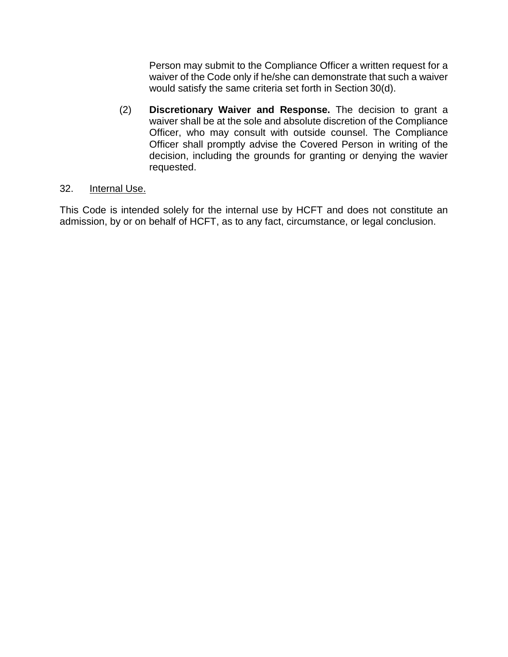Person may submit to the Compliance Officer a written request for a waiver of the Code only if he/she can demonstrate that such a waiver would satisfy the same criteria set forth in Section 30(d).

(2) **Discretionary Waiver and Response.** The decision to grant a waiver shall be at the sole and absolute discretion of the Compliance Officer, who may consult with outside counsel. The Compliance Officer shall promptly advise the Covered Person in writing of the decision, including the grounds for granting or denying the wavier requested.

## 32. Internal Use.

This Code is intended solely for the internal use by HCFT and does not constitute an admission, by or on behalf of HCFT, as to any fact, circumstance, or legal conclusion.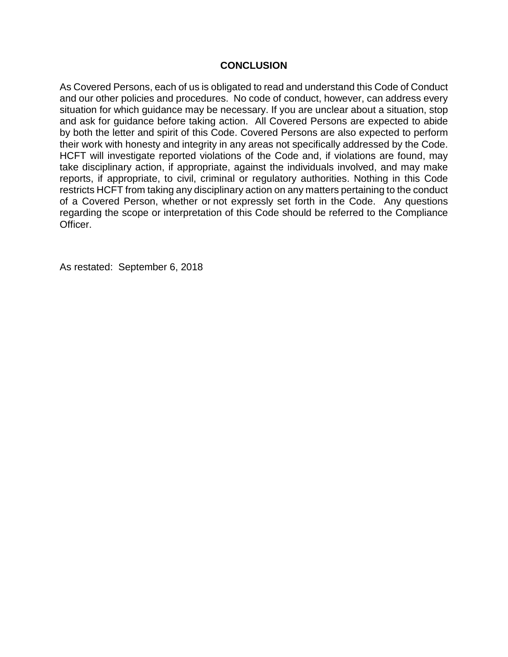#### **CONCLUSION**

As Covered Persons, each of us is obligated to read and understand this Code of Conduct and our other policies and procedures. No code of conduct, however, can address every situation for which guidance may be necessary. If you are unclear about a situation, stop and ask for guidance before taking action. All Covered Persons are expected to abide by both the letter and spirit of this Code. Covered Persons are also expected to perform their work with honesty and integrity in any areas not specifically addressed by the Code. HCFT will investigate reported violations of the Code and, if violations are found, may take disciplinary action, if appropriate, against the individuals involved, and may make reports, if appropriate, to civil, criminal or regulatory authorities. Nothing in this Code restricts HCFT from taking any disciplinary action on any matters pertaining to the conduct of a Covered Person, whether or not expressly set forth in the Code. Any questions regarding the scope or interpretation of this Code should be referred to the Compliance Officer.

As restated: September 6, 2018